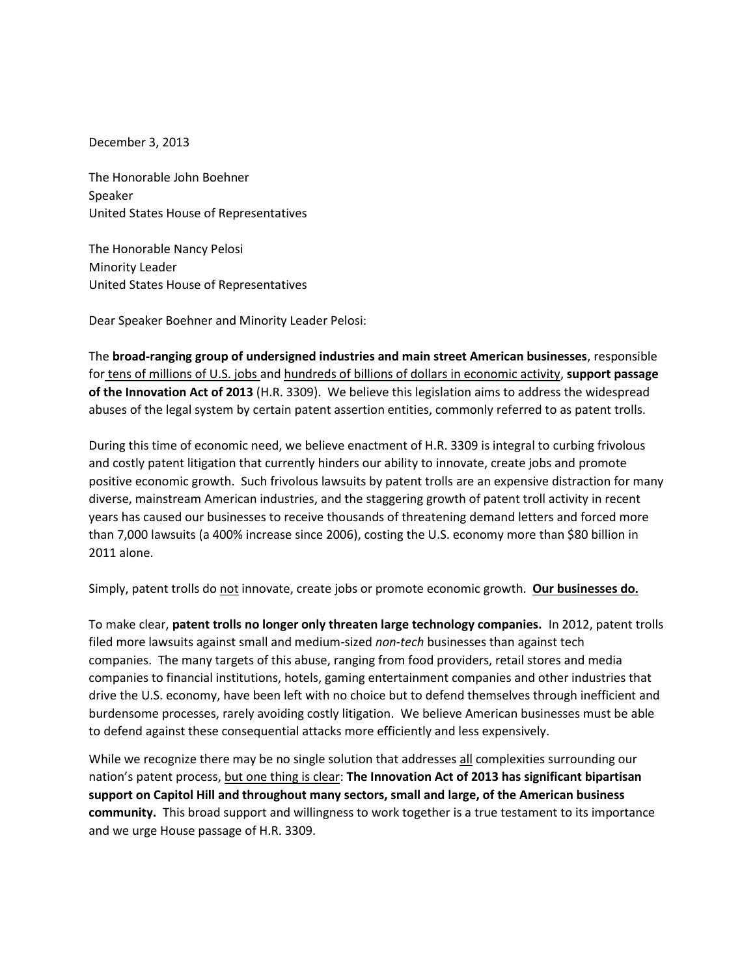December 3, 2013

The Honorable John Boehner Speaker United States House of Representatives

The Honorable Nancy Pelosi Minority Leader United States House of Representatives

Dear Speaker Boehner and Minority Leader Pelosi:

The **broad-ranging group of undersigned industries and main street American businesses**, responsible for tens of millions of U.S. jobs and hundreds of billions of dollars in economic activity, **support passage of the Innovation Act of 2013** (H.R. 3309). We believe this legislation aims to address the widespread abuses of the legal system by certain patent assertion entities, commonly referred to as patent trolls.

During this time of economic need, we believe enactment of H.R. 3309 is integral to curbing frivolous and costly patent litigation that currently hinders our ability to innovate, create jobs and promote positive economic growth. Such frivolous lawsuits by patent trolls are an expensive distraction for many diverse, mainstream American industries, and the staggering growth of patent troll activity in recent years has caused our businesses to receive thousands of threatening demand letters and forced more than 7,000 lawsuits (a 400% increase since 2006), costing the U.S. economy more than \$80 billion in 2011 alone.

Simply, patent trolls do not innovate, create jobs or promote economic growth. **Our businesses do.**

To make clear, **patent trolls no longer only threaten large technology companies.** In 2012, patent trolls filed more lawsuits against small and medium-sized *non-tech* businesses than against tech companies. The many targets of this abuse, ranging from food providers, retail stores and media companies to financial institutions, hotels, gaming entertainment companies and other industries that drive the U.S. economy, have been left with no choice but to defend themselves through inefficient and burdensome processes, rarely avoiding costly litigation. We believe American businesses must be able to defend against these consequential attacks more efficiently and less expensively.

While we recognize there may be no single solution that addresses all complexities surrounding our nation's patent process, but one thing is clear: **The Innovation Act of 2013 has significant bipartisan support on Capitol Hill and throughout many sectors, small and large, of the American business community.** This broad support and willingness to work together is a true testament to its importance and we urge House passage of H.R. 3309.